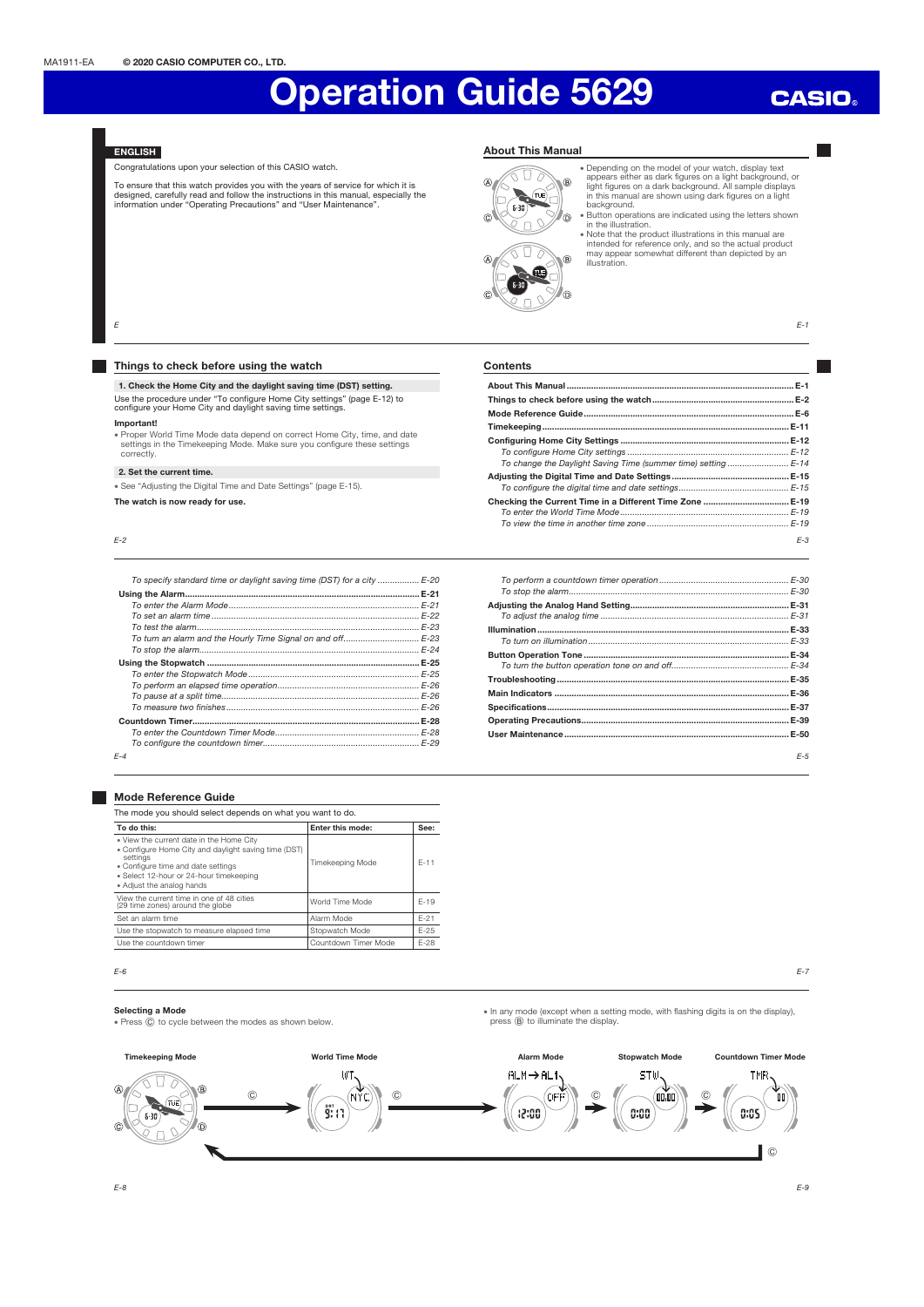### **CASIO**

### **ENGLISH**

Congratulations upon your selection of this CASIO watch.

To ensure that this watch provides you with the years of service for which it is<br>designed, carefully read and follow the instructions in this manual, especially the<br>information under "Operating Precautions" and "User Maint

### About This Manual



• Depending on the model of your watch, display text<br>appears either as dark figures on a light background, o<br>light figures on a dark background. All sample displays<br>in this manual are shown using dark figures on a light<br>ba

• Button operations are indicated using the letters shown<br>in the illustration.<br>
• Note that the product illustrations in this manual are<br>
intended for reference only, and so the actual product<br>
may appear somewhat differe

 $E-1$ 

### Things to check before using the watch

1. Check the Home City and the daylight saving time (DST) setting. Use the procedure under "To configure Home City settings" (page E-12) to configure your Home City and daylight saving time settings.

### Important!

E

x Proper World Time Mode data depend on correct Home City, time, and date settings in the Timekeeping Mode. Make sure you configure these settings correctly.

### 2. Set the current time.

x See "Adjusting the Digital Time and Date Settings" (page E-15).

The watch is now ready for use.

E-2

| To specify standard time or daylight saving time (DST) for a city  E-20 |  |
|-------------------------------------------------------------------------|--|
|                                                                         |  |
|                                                                         |  |
|                                                                         |  |
|                                                                         |  |
| To turn an alarm and the Hourly Time Signal on and off E-23             |  |
|                                                                         |  |
|                                                                         |  |
|                                                                         |  |
|                                                                         |  |
|                                                                         |  |
|                                                                         |  |
|                                                                         |  |
|                                                                         |  |
|                                                                         |  |
| $F - 4$                                                                 |  |

|  |  | <b>Mode Reference Guide</b> |  |
|--|--|-----------------------------|--|
|--|--|-----------------------------|--|

| The mode you should select depends on what you want to do.                                                                                                                                                                 |                         |        |  |  |
|----------------------------------------------------------------------------------------------------------------------------------------------------------------------------------------------------------------------------|-------------------------|--------|--|--|
| To do this:                                                                                                                                                                                                                | Enter this mode:        | See:   |  |  |
| . View the current date in the Home City<br>. Configure Home City and daylight saving time (DST)<br>settings<br>• Configure time and date settings<br>· Select 12-hour or 24-hour timekeeping<br>• Adiust the analog hands | <b>Timekeeping Mode</b> | $F-11$ |  |  |
| View the current time in one of 48 cities<br>(29 time zones) around the globe                                                                                                                                              | World Time Mode         | $F-19$ |  |  |
| Set an alarm time                                                                                                                                                                                                          | Alarm Mode              | $F-21$ |  |  |
| Use the stopwatch to measure elapsed time                                                                                                                                                                                  | Stopwatch Mode          | $F-25$ |  |  |
| Use the countdown timer                                                                                                                                                                                                    | Countdown Timer Mode    | F-28   |  |  |

#### E-6 E-7

### Selecting a Mode

• Press  $\copyright$  to cycle between the modes as shown below.

**Timekeeping Mode** World Time Mode Alarm Mode Stopwatch Mode Countdown Timer Mode UT.  $ALM \rightarrow AL1$ STW **TMR** Г G) C C OFİ  $\mathbf{u}$  and ŤO) (TUE) psi<br>Si  $12:33$  $0.00$ 0:05  $6 - 30$  $\widehat{C}$ ์ ค  $\odot$ 

E-3 **Contents** About This Manual ............................................................................................. E-1 Things to check before using the watch .......................................................... E-2 Mode Reference Guide ...................................................................................... E-6 Timekeeping ..................................................................................................... E-11 Configuring Home City Settings ..................................................................... E-12 To configure Home City settings .................................................................. E-12 To change the Daylight Saving Time (summer time) setting ........ Adjusting the Digital Time and Date Settings ................................................ E-15 To configure the digital time and date settings... Checking the Current Time in a Different Time Zone ................................... E-19 To enter the World Time Mode ..................................................................... E-19 To view the time in another time zone ......

| $F-5$ |
|-------|

• In any mode (except when a setting mode, with flashing digits is on the display),

press (B) to illuminate the display

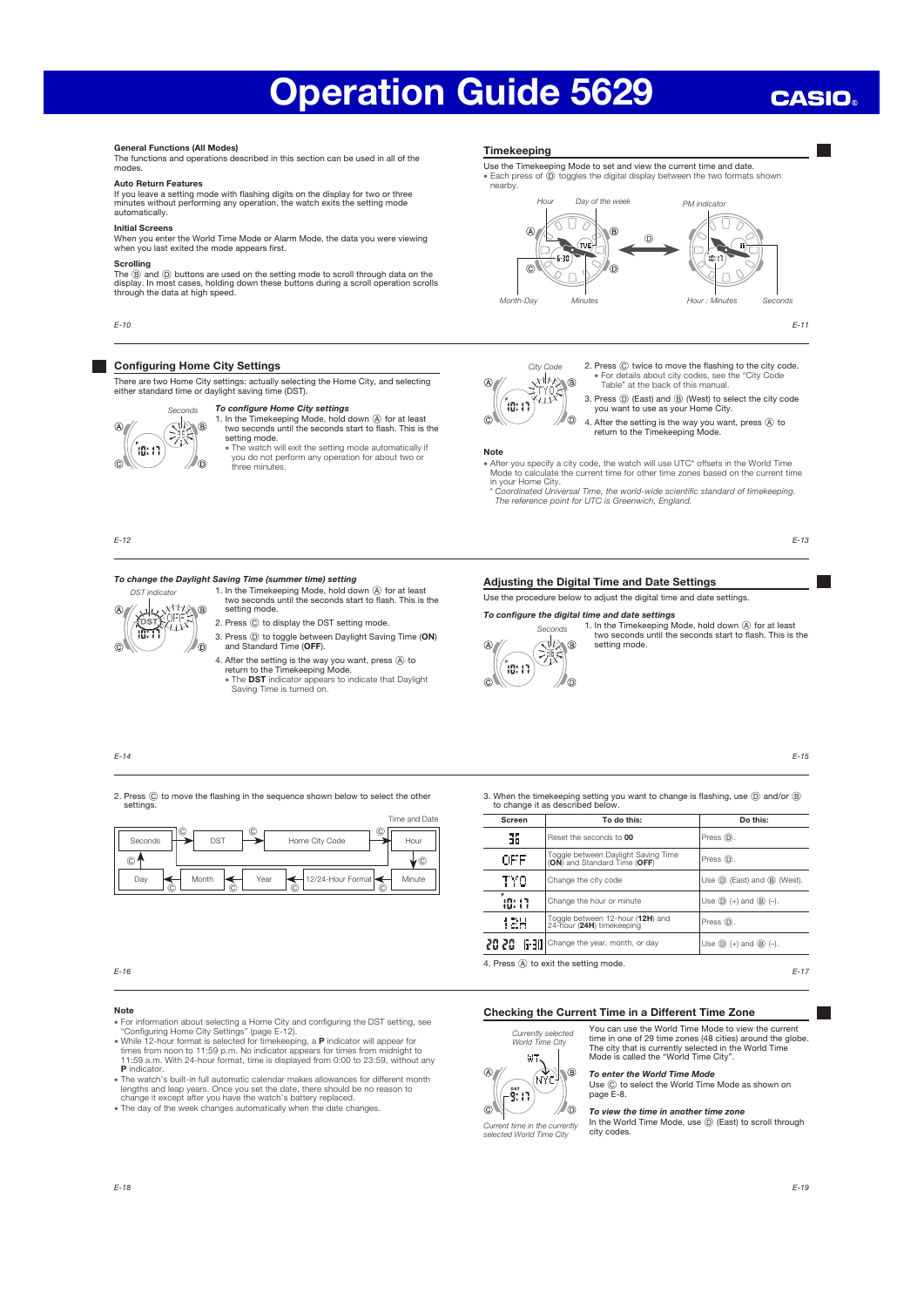## **CASIO**

### General Functions (All Modes)

The functions and operations described in this section can be used in all of the modes.

### Auto Return Features

If you leave a setting mode with flashing digits on the display for two or three minutes without performing any operation, the watch exits the setting mode automatically.

#### Initial Screens

When you enter the World Time Mode or Alarm Mode, the data you were viewing when you last exited the mode appears first.

### Scrolling

The ⑧ and ⑨ buttons are used on the setting mode to scroll through data on the<br>display. In most cases, holding down these buttons during a scroll operation scrolls<br>through the data at high speed.

E-10

### Configuring Home City Settings

There are two Home City settings: actually selecting the Home City, and selecting either standard time or daylight saving time (DST).

### To configure Home City settings 1. In the Timekeeping Mode, hold down  $\overline{A}$  for at least two seconds until the seconds start to flash. This is the



setting mode x The watch will exit the setting mode automatically if you do not perform any operation for about two or three minutes.

E-12

 $\widehat{C}$ 

DST indicator

**ANALANTINA**<br>**EDSTARLIN**<br>**RESTARLIN** 10.T1

### To change the Daylight Saving Time (summer time) setting

- 1. In the Timekeeping Mode, hold down  $\overline{A}$  for at least two seconds until the seconds start to flash. This is the setting mode. 2. Press  $\copyright$  to display the DST setting mode
- 3. Press ① to toggle between Daylight Saving Time (ON)<br>and Standard Time (OFF). /ന
	- 4. After the setting is the way you want, press  $\overline{\textcircled{}}$  to return to the Timekeeping Mode.<br>
	 The DST indicator appears to indicate that Daylight Saving Time is turned on.

### E-14

2. Press  $\copyright$  to move the flashing in the sequence shown below to select the other settings



### Note

- 
- For information about selecting a Home City and configuring the DST setting, see<br>• "Configuring Home City Settings" (page E-12).<br>• While 12-hour format is selected for timekeeping, a **P** indicator will appear for<br>• times P indicator.
- x The watch's built-in full automatic calendar makes allowances for different month lengths and leap years. Once you set the date, there should be no reason to change it except after you have the watch's battery replaced.
- . The day of the week changes automatically when the date changes

### Timekeeping

### Use the Timekeeping Mode to set and view the current time and date. • Each press of  $\ddot{D}$  toggles the digital display between the two formats shown nearby.



E-11

- City Code<br>
X 11/ X<br>
T Y 0 X<br>
Y Y J X T  $\circ$ ິຜ:ກ  $\circ$ 
	- 2. Press  $\copyright$  twice to move the flashing to the city code. x For details about city codes, see the "City Code Table" at the back of this manual.
	- 3. Press D (East) and B (West) to select the city code you want to use as your Home City. O)
		- 4. After the setting is the way you want, press  $\circledA$  to return to the Timekeeping Mode.

### Note

- x After you specify a city code, the watch will use UTC\* offsets in the World Time Mode to calculate the current time for other time zones based on the current time
- in your Home City. \* Coordinated Universal Time, the world-wide scientific standard of timekeeping. The reference point for UTC is Greenwich, England.

E-13

### Adjusting the Digital Time and Date Settings

Use the procedure below to adjust the digital time and date settings.

### To configure the digital time and date settings



1. In the Timekeeping Mode, hold down  $\overline{A}$  for at least two seconds until the seconds start to flash. This is the setting mode.

E-15

Screen To do this: Do this: 昍 Reset the seconds to 00 Press (D) occ Toggle between Daylight Saving Time<br>(ON) and Standard Time (OFF) Press  $\circled{D}$ .

3. When the timekeeping setting you want to change is flashing, use D and/or B to change it as described below.

| $\cup$ 1 |                                                                                                 | v      | угг    | (ON) and Standard Time (OFF)                                  | $\cdots$                       |
|----------|-------------------------------------------------------------------------------------------------|--------|--------|---------------------------------------------------------------|--------------------------------|
| Day      | 12/24-Hour Format<br>Year<br>Month<br>$\circled{c}$<br>$\widehat{\phantom{a}}$<br>$\circled{c}$ | Minute | TYO    | Change the city code                                          | Use (D) (East) and (B) (West). |
|          |                                                                                                 |        | 40: 17 | Change the hour or minute                                     | Use $(D)$ (+) and $(B)$ (-).   |
|          |                                                                                                 |        | 12H    | Toggle between 12-hour (12H) and<br>24-hour (24H) timekeeping | Press $\circledD$ .            |
|          |                                                                                                 |        |        | 20 20 6-30 Change the year, month, or day                     | Use $(D)$ (+) and $(B)$ (-).   |
| $E-16$   |                                                                                                 |        |        | 4. Press $(A)$ to exit the setting mode.                      | $E-17$                         |

### Checking the Current Time in a Different Time Zone

### Currently selected World Time City **HT** h B  $(M<sub>c</sub>)$  $\left( -\overset{\text{asr}}{\mathbf{9}};\cdot\right)$ ര /6

You can use the World Time Mode to view the current time in one of 29 time zones (48 cities) around the globe. The city that is currently selected in the World Time Mode is called the "World Time City".

## **To enter the World Time Mode**<br>Use ⓒ to select the World Time Mode as shown on<br>page E-8.

To view the time in another time zone

In the World Time Mode, use  $\textcircled{\tiny{D}}$  (East) to scroll through city codes. Current time in the currently<br>selected World Time City city codes.

### E-19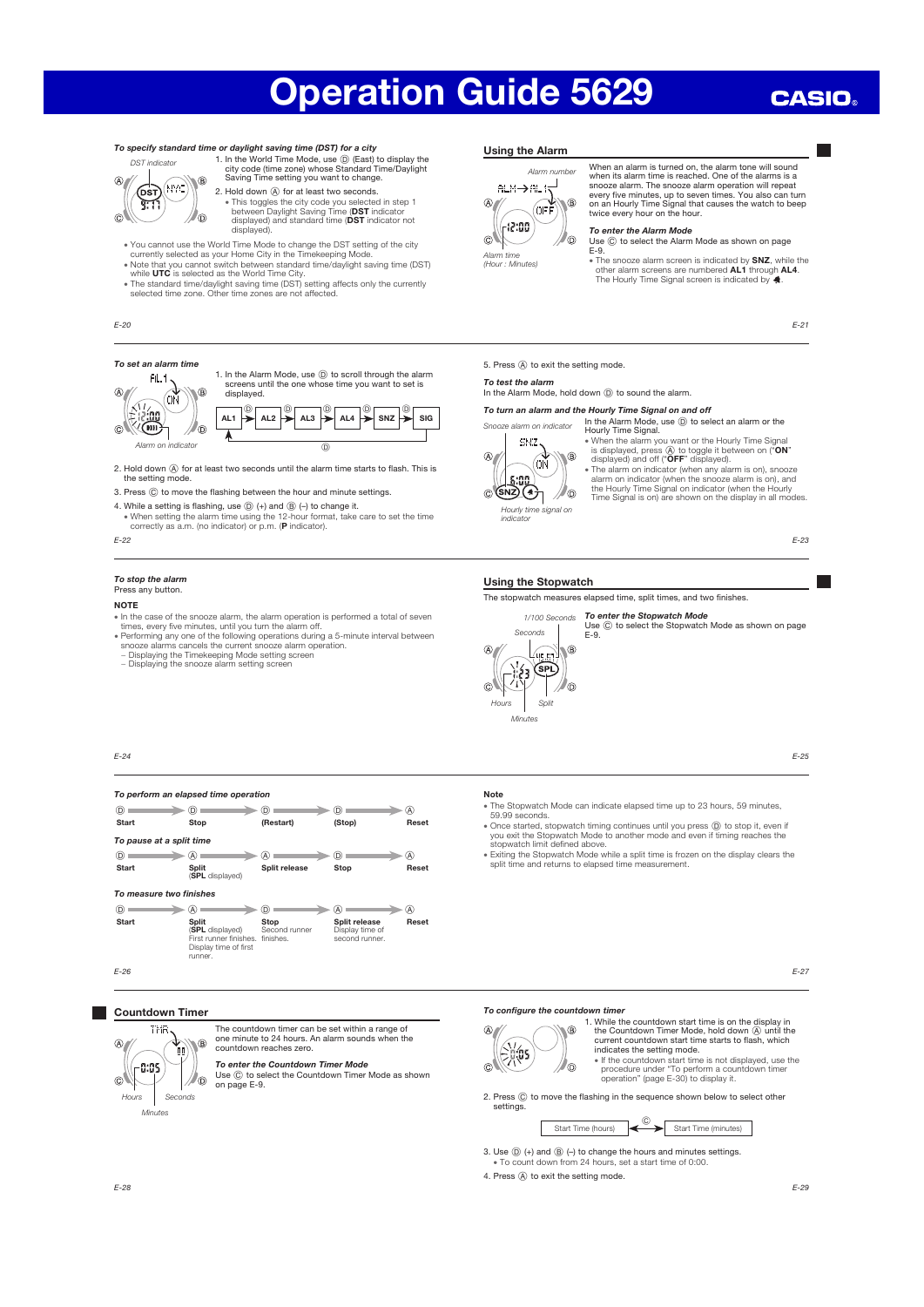## **CASIO**

### To specify standard time or daylight saving time (DST) for a city



1. In the World Time Mode, use ① (East) to display the city code (time zone) whose Standard Time/Daylight<br>Saving Time setting you want to change. 2. Hold down  $\circledA$  for at least two seconds.

- This toggles the city code you selected in step 1<br>between Daylight Saving Time (DST indicator<br>displayed) and standard time (DST indicator not displayed).
- x You cannot use the World Time Mode to change the DST setting of the city currently selected as your Home City in the Timekeeping Mode.
- 
- Note that you cannot switch between standard time/daylight saving time (DST)<br>while UTC is selected as the World Time City.<br>• The standard time/daylight saving time (DST) setting affects only the currently<br>• selected time

E-20

### To set an alarm time



1. In the Alarm Mode, use  $\textcircled{D}$  to scroll through the alarm screens until the one whose time you want to set is



- 2. Hold down  $\overline{\varnothing}$  for at least two seconds until the alarm time starts to flash. This is the setting mode.
- 3. Press  $@$  to move the flashing between the hour and minute settings.
- 4. While a setting is flashing, use  $\textcircled{D}$  (+) and  $\textcircled{B}$  (-) to change it.

• When setting the alarm time using the 12-hour format, take care to set the time correctly as a.m. (no indicator) or p.m. (P indicator).

E-22

#### To stop the alarm Press any button.

### **NOTE**

- In the case of the snooze alarm, the alarm operation is performed a total of seven<br>times, every five minutes, until you turn the alarm off.<br>• Performing any one of the following operations during a 5-minute interval betw
- 
- 
- − Displaying the snooze alarm setting screen

### Using the Alarm



When an alarm is turned on, the alarm tone will sound when its alarm time is reached. One of the alarms is a snooze alarm. The snooze alarm operation will repeat every five minutes, up to seven times. You also can turn on an Hourly Time Signal that causes the watch to beep twice every hour on the hour.

### To enter the Alarm Mode

Use  $\copyright$  to select the Alarm Mode as shown on page E-9.

• The snooze alarm screen is indicated by **SNZ**, while the other alarm screens are numbered **AL1** through **AL4**.<br>The Hourly Time Signal screen is indicated by 4.

E-21

5. Press (A) to exit the setting mode

To test the alarm

### In the Alarm Mode, hold down  $\textcircled{D}$  to sound the alarm.

To turn an alarm and the Hourly Time Signal on and off

In the Alarm Mode, use  $③$  to select an alarm or the Hourly Time Signal. alarm on indicator



E-23

### Using the Stopwatch

The stopwatch measures elapsed time, split times, and two finishes.





Use © to select the Stopwatch Mode as shown on page<br>E-9.

E-25

### E-24

### To perform an elapsed time operation

| (D)                      | D.                                                                                                      | D.                    | D)                                                 | A     |
|--------------------------|---------------------------------------------------------------------------------------------------------|-----------------------|----------------------------------------------------|-------|
| <b>Start</b>             | Stop                                                                                                    | (Restart)             | (Stop)                                             | Reset |
| To pause at a split time |                                                                                                         |                       |                                                    |       |
| (D)                      | (A)                                                                                                     | A)                    | D)                                                 | A)    |
| <b>Start</b>             | <b>Split</b>                                                                                            | Split release         | Stop                                               | Reset |
|                          | (SPL displayed)                                                                                         |                       |                                                    |       |
| To measure two finishes  |                                                                                                         |                       |                                                    |       |
| (D)                      | (A)                                                                                                     | D)                    | ίA                                                 | (A)   |
| <b>Start</b>             | <b>Split</b><br>(SPL displayed)<br>First runner finishes. finishes.<br>Display time of first<br>runner. | Stop<br>Second runner | Split release<br>Display time of<br>second runner. | Reset |
| $E-26$                   |                                                                                                         |                       |                                                    |       |

### **Countdown Timer**



The countdown timer can be set within a range of one minute to 24 hours. An alarm sounds when the countdown reaches zero.

**To enter the Countdown Timer Mode**<br>Use ⓒ to select the Countdown Timer Mode as shown<br>on page E-9.

### Note

- x The Stopwatch Mode can indicate elapsed time up to 23 hours, 59 minutes, 59.99 seconds.
- Once started, stopwatch timing continues until you press ( $\overline{D}$ ) to stop it, even if you exit the Stopwatch Mode to another mode and even if timing reaches the e Exting the Stopwatch limit defined above.<br>  $\overline{P}$  Ext
- 

E-27

### To configure the countdown time



1. While the countdown start time is on the display in<br>the Countdown Timer Mode, hold down  $\overline{Q}$  until the<br>current countdown start time starts to flash, which<br>indicates the setting mode.<br>if the countdown start time is

2. Press  $\copyright$  to move the flashing in the sequence shown below to select other settings.

Start Time (hours)  $\begin{array}{ccc} \circ & \bullet & \bullet & \bullet \end{array}$  Start Time (minutes)

3. Use  $\overline{D}$  (+) and  $\overline{B}$  (-) to change the hours and minutes settings.

 $\frac{300}{100}$  To count down from 24 hours, set a start time of 0:00.

4. Press  $\textcircled{A}$  to exit the setting mode.

 $\mathbb{Z}^n$ 

Hourly time signal on indicator

W®

• When the alarm you want or the Hourly Time Signal<br>is displayed, press @ to toggle it between on ("ON"<br>displayed) and off ("OFF" displayed).<br>The alarm on indicator (when any alarm is on), snooze<br>alarm on indicator (when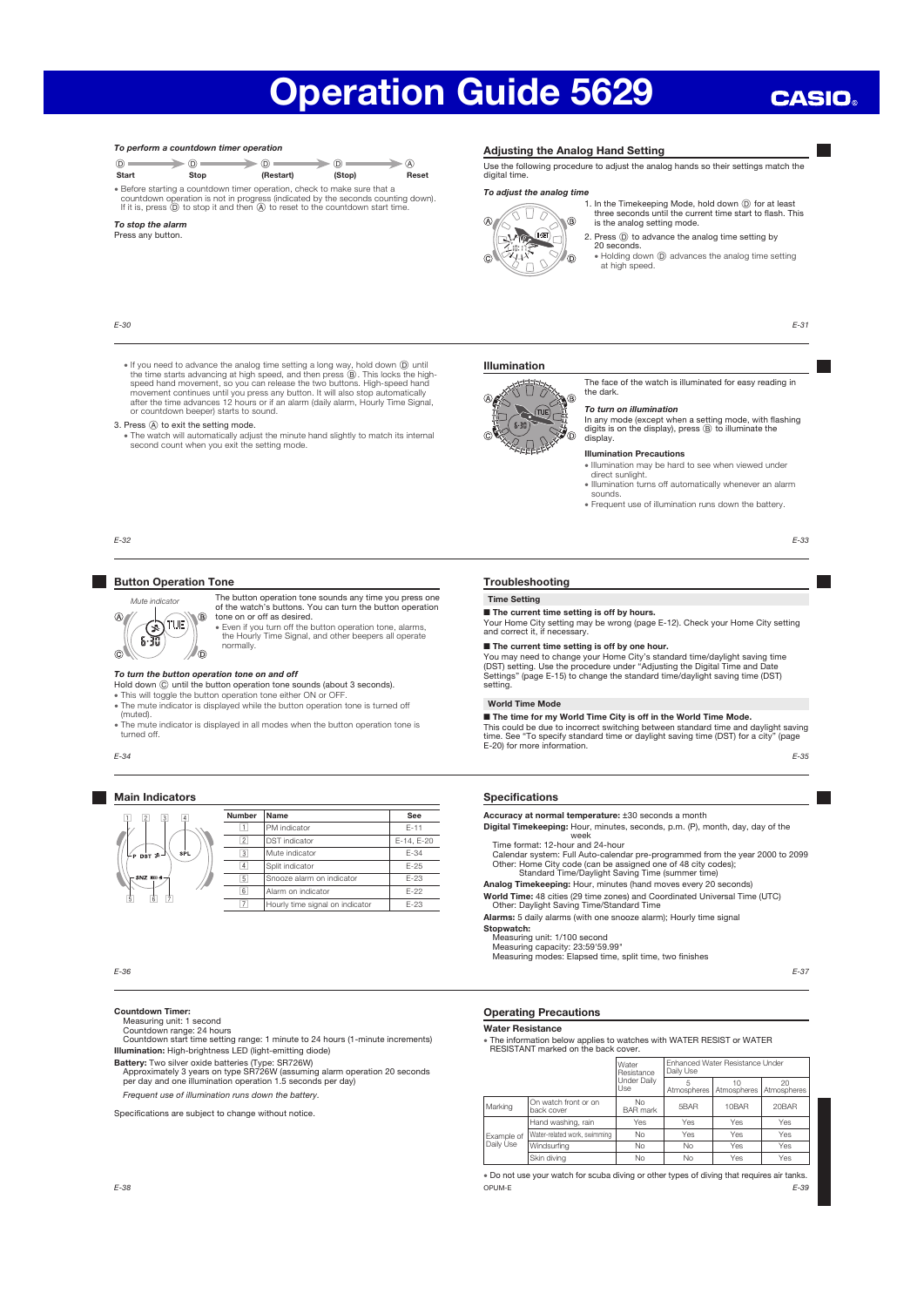$\sqrt{\lambda}$ 

### **CASIO**

### To perform a countdown timer operation  $\circledcirc$   $\longrightarrow$   $\circledcirc$   $\longrightarrow$   $\circledcirc$   $\longrightarrow$   $\circledcirc$ Start Stop (Restart) (Stop) Reset x Before starting a countdown timer operation, check to make sure that a countdown operation is not in progress (indicated by the seconds counting down).<br>If it is, press (D) to stop it and then (A) to reset to the countdown start time.

### To stop the alarm Press any button.

E-30

### Adjusting the Analog Hand Setting

Use the following procedure to adjust the analog hands so their settings match the digital time.

### To adjust the analog time ۱.

 $\sqrt{V_{\text{max}}}$  $\sqrt{15}$ 

J)  $\sqrt{6}$ 

1. In the Timekeeping Mode, hold down  $\circledD$  for at least three seconds until the current time start to flash. This is the analog setting mode. Ġ.



• Holding down  $\circledD$  advances the analog time setting at high speed.

The face of the watch is illuminated for easy reading in

In any mode (except when a setting mode, with flashing digits is on the display), press (B) to illuminate the

x Illumination may be hard to see when viewed under direct sunlight. • Illumination turns off automatically whenever an alarm

x Frequent use of illumination runs down the battery.

E-31

E-33

• If you need to advance the analog time setting a long way, hold down ( $\overline{Q}$ ) until<br>the time starts advancing at high speed, and then press  $\overline{Q}$ ). This locks the high-<br>speed hand movement, so you can release the tw or countdown beeper) starts to sound.

### 3. Press  $\circledA$  to exit the setting mode.

x The watch will automatically adjust the minute hand slightly to match its internal second count when you exit the setting mode.

E-32

### Button Operation Tone



The button operation tone sounds any time you press one of the watch's buttons. You can turn the button operation tone on or off as desired. x Even if you turn off the button operation tone, alarms, the Hourly Time Signal, and other beepers all operate

### To turn the button operation tone on and off

Hold down C until the button operation tone sounds (about 3 seconds).

normally.

x This will toggle the button operation tone either ON or OFF. The mute indicator is displayed while the button operation tone is turned off (muted).

- x The mute indicator is displayed in all modes when the button operation tone is turned off.
- E-34

### Main Indicators

| $\overline{\mathbf{3}}$<br>$\overline{4}$<br>$\overline{2}$ | <b>Number</b>  | Name                            | See        |  |
|-------------------------------------------------------------|----------------|---------------------------------|------------|--|
|                                                             |                | PM indicator                    | $F - 11$   |  |
|                                                             | $\overline{c}$ | <b>DST</b> indicator            | E-14, E-20 |  |
| SPL<br>$V_P$ pst $*J$                                       | $\overline{3}$ | Mute indicator                  | $E-34$     |  |
|                                                             | $\overline{4}$ | Split indicator                 | $E-25$     |  |
| $SNZ$ $III$ $A -$                                           | $\overline{5}$ | Snooze alarm on indicator       | $E-23$     |  |
|                                                             | 6              | Alarm on indicator              | $E-22$     |  |
| ŝ<br>$\overline{6}$                                         | 7              | Hourly time signal on indicator | $E-23$     |  |
|                                                             |                |                                 |            |  |

E-36

### Countdown Timer:

Measuring unit: 1 second Countdown range: 24 hours Countdown start time setting range: 1 minute to 24 hours (1-minute increments) Illumination: High-brightness LED (light-emitting diode)

Battery: Two silver oxide batteries (Type: SR726W)<br>Approximately 3 years on type SR726W (assuming alarm operation 20 seconds<br>per day and one illumination operation 1.5 seconds per day)

Frequent use of illumination runs down the battery.

Specifications are subject to change without notice.

### Operating Precautions

Water Resistance

x The information below applies to watches with WATER RESIST or WATER RESISTANT marked on the back cover.

|            |                                    | Water<br>Resistance          | Enhanced Water Resistance Under<br>Daily Use |             |                   |  |
|------------|------------------------------------|------------------------------|----------------------------------------------|-------------|-------------------|--|
|            |                                    | Under Daily<br>Use           | Atmospheres                                  | Atmospheres | 20<br>Atmospheres |  |
| Marking    | On watch front or on<br>back cover | <b>No</b><br><b>BAR</b> mark | 5BAR                                         | 10BAR       | 20BAR             |  |
|            | Hand washing, rain                 | Yes                          | Yes                                          | Yes         | Yes               |  |
| Example of | Water-related work, swimming       | <b>No</b>                    | Yes                                          | Yes         | Yes               |  |
| Daily Use  | Windsurfing                        | <b>No</b>                    | No                                           | Yes         | Yes               |  |
|            | Skin diving                        | <b>No</b>                    | No                                           | Yes         | Yes               |  |

E-39 . Do not use your watch for scuba diving or other types of diving that requires air tanks. E-38 OPUM-E

### Troubleshooting

### Time Setting

Illumination

K.  $U \times$ 

 $\widehat{\mathsf{fue}}$ 

 $\Box$ 

Ŷ.

Ŧ

 $\circledcirc$ 

■ The current time setting is off by hours. Your Home City setting may be wrong (page E-12). Check your Home City setting and correct it, if necessary.

the dark.

Ĝ.

display.

sounds.

To turn on illumination

Illumination Precautions

■ The current time setting is off by one hour. You may need to change your Home City's standard time/daylight saving time<br>(DST) setting. Use the procedure under "Adjusting the Digital Time and Date<br>Settings" (page E-15) to change the standard time/daylight saving time setting.

### World Time Mode

■ The time for my World Time City is off in the World Time Mode. This could be due to incorrect switching between standard time and daylight saving time. See "To specify standard time or daylight saving time (DST) for a city" (page E-20) for more information.

E-35

### Specifications

Accuracy at normal temperature: ±30 seconds a month

Digital Timekeeping: Hour, minutes, seconds, p.m. (P), month, day, day of the<br>week<br>Time format: 12-hour and 24-hour<br>Calendar system: Full Auto-calendar pre-programmed from the year 2000 to 2099

Other: Home City code (can be assigned one of 48 city codes);<br>Standard Time/Daylight Saving Time/summer time)<br>Analog Timekeeping: Hour, minutes (hand moves every 20 seconds)

World Time: 48 cities (29 time zones) and Coordinated Universal Time (UTC) Other: Daylight Saving Time/Standard Time

Alarms: 5 daily alarms (with one snooze alarm); Hourly time signal Stopwatch:

### Measuring unit: 1/100 second

Measuring capacity: 23:59'59.99" Measuring modes: Elapsed time, split time, two finishes

E-37



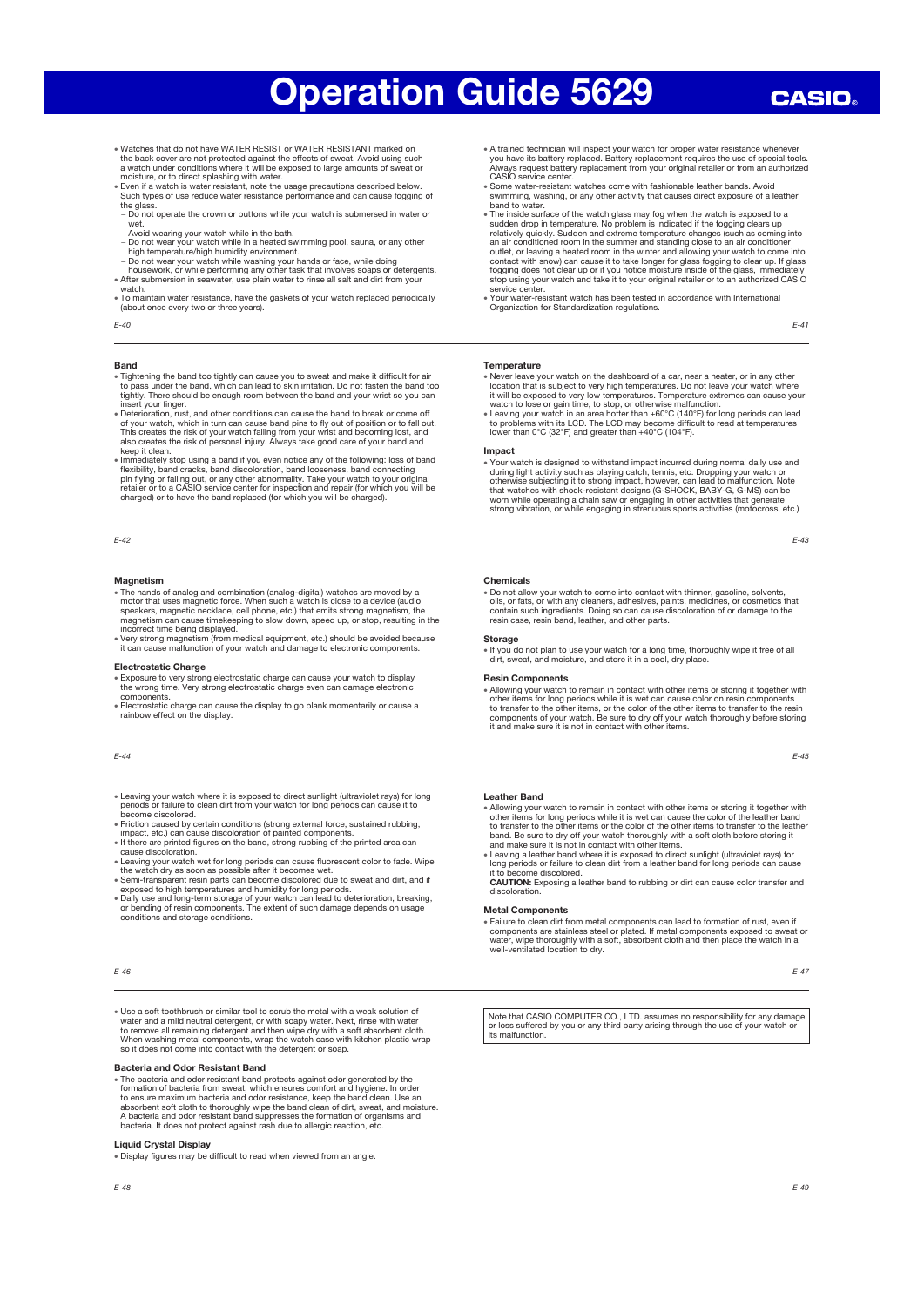- x Watches that do not have WATER RESIST or WATER RESISTANT marked on
- the back cover are not protected against the effects of sweat. Avoid using such<br>a watch under conditions where it will be exposed to large amounts of sweat or<br>moisture, or to direct splashing with water.<br>Even if a watch is
- the glass − Do not operate the crown or buttons while your watch is submersed in water or
- wet.
- − Avoid wearing your watch while in the bath.
- Do not wear your watch while in a heated swimming pool, sauna, or any other<br>high temperature/high humidity environment.<br>- Do not wear your watch while washing your hands or face, while doing<br>housework, or while performin
- 
- watch.
- x To maintain water resistance, have the gaskets of your watch replaced periodically (about once every two or three years).
- $F-40$

### Band

- x Tightening the band too tightly can cause you to sweat and make it difficult for air to pass under the band, which can lead to skin irritation. Do not fasten the band too tightly. There should be enough room between the band and your wrist so you can<br>tightly. There should be enough room between the band and your wrist so you can<br>insert your finace
- insert your finger.<br>
In Seterioration, rust, and other conditions can cause the band to break or come off<br>
of your watch, which in turn can cause band pins to fly out of position or to fall out.<br>
This creates the risk of y
- keep it clean.<br>
If where the set of you even notice any of the following: loss of band<br>
If mendiately stop using a band discoloration, band looseness, band connecting<br>  $\phi$  flexibility, band cracks, band discoloration, ban

### E-42

### **Magnetism**

- The hands of analog and combination (analog-digital) watches are moved by a<br>motor that uses magnetic force. When such a watch is close to a device (audio<br>speakers, magnetic necklace, cell phone, etc.) that emits strong m
- incorrect time being displayed. x Very strong magnetism (from medical equipment, etc.) should be avoided because it can cause malfunction of your watch and damage to electronic components.

### Electrostatic Charge

- x Exposure to very strong electrostatic charge can cause your watch to display the wrong time. Very strong electrostatic charge even can damage electronic
- components. x Electrostatic charge can cause the display to go blank momentarily or cause a rainbow effect on the display.

### E-44

- x Leaving your watch where it is exposed to direct sunlight (ultraviolet rays) for long periods or failure to clean dirt from your watch for long periods can cause it to become discolored.
- x Friction caused by certain conditions (strong external force, sustained rubbing, impact, etc.) can cause discoloration of painted components.
- x If there are printed figures on the band, strong rubbing of the printed area can
- cause discoloration.<br>
e Leaving your watch wet for long periods can cause fluorescent color to fade. Wipe<br>
the watch dry as soon as possible after it becomes wet.<br>  $\epsilon$  Semi-transparent resin parts can become discolored du
- 
- x Daily use and long-term storage of your watch can lead to deterioration, breaking, or bending of resin components. The extent of such damage depends on usage conditions and storage conditions.

### E-46

x Use a soft toothbrush or similar tool to scrub the metal with a weak solution of water and a mild neutral detergent, or with soapy water. Next, rinse with water<br>to remove all remaining detergent and then wipe dry with a soft absorbent cloth.<br>When washing metal components, wap the watch case with kitche

### Bacteria and Odor Resistant Band

• The bacteria and odor resistant band protects against odor generated by the formation of bacteria from sweat, which ensures comfort and hygiene. In order to ensure maximum bacteria and odor resistance, keep the band clea bacteria. It does not protect against rash due to allergic reaction, etc.

### Liquid Crystal Display

x Display figures may be difficult to read when viewed from an angle.

- \* A trained technician will inspect your watch for proper water resistance whenever you have its battery replaced. Battery replacement requires the use of special tools. Always request battery replacement from your original retailer or from an authorized CASIO service center.
- x Some water-resistant watches come with fashionable leather bands. Avoid swimming, washing, or any other activity that causes direct exposure of a leather
- band to water.<br>● The inside surface of the watch glass may fog when the watch is exposed to a<br>● sudden drop in temperature. No problem is indicated if the fogging clears up relatively quickly. Sudden and extreme temperature changes (such as coming into<br>an air conditioned room in the summer and standing close to an air conditioner<br>outlet, or leaving a heated room in the winter and allowing you service center.
- scrived center.<br>Your water-resistant watch has been tested in accordance with International Organization for Standardization regulations.

### E-41

### Temperature

- Never leave your watch on the dashboard of a car, near a heater, or in any other location that is subject to very high temperatures. Do not leave your watch where it will be exposed to very low temperatures. Temperature
- 

### Impact

x Your watch is designed to withstand impact incurred during normal daily use and during light activity such as playing catch, tennis, etc. Dropping your watch or otherwise subjecting it to strong impact, however, can lead to malfunction. Note<br>that watches with shock-resistant designs (G-SHOCK, BABY-G, G-MS) can be<br>worn while operating a chain saw or engaging in other activities tha

E-43

### Chemicals

• Do not allow your watch to come into contact with thinner, gasoline, solvents,<br>oils, or fats, or with any cleaners, adhesives, paints, medicines, or cosmetics that<br>contain such ingredients. Doing so can cause discolorati resin case, resin band, leather, and other parts

### **Storage**

x If you do not plan to use your watch for a long time, thoroughly wipe it free of all dirt, sweat, and moisture, and store it in a cool, dry place.

### Resin Components

x Allowing your watch to remain in contact with other items or storing it together with other items for long periods while it is wet can cause color on resin components to transfer to the other items, or the color of the other items to transfer to the resin components of your watch. Be sure to dry off your watch thoroughly before storing it and make sure it is not in contact with other items.

E-45

### Leather Band

- Allowing your watch to remain in contact with other items or storing it together with<br>other items for long periods while it is wet can cause the color of the leather band<br>to transfer to the other items or the color of th
- long periods or failure to clean dirt from a leather band for long periods can cause become discolored.

CAUTION: Exposing a leather band to rubbing or dirt can cause color transfer and discoloration.

### Metal Components

• Failure to clean dirt from metal components can lead to formation of rust, even if components are stainless steel or plated. If metal components exposed to sweat or water, wipe thoroughly with a soft, absorbent cloth and

E-47

Note that CASIO COMPUTER CO., LTD. assumes no responsibility for any damage or loss suffered by you or any third party arising through the use of your watch or its malfunction.